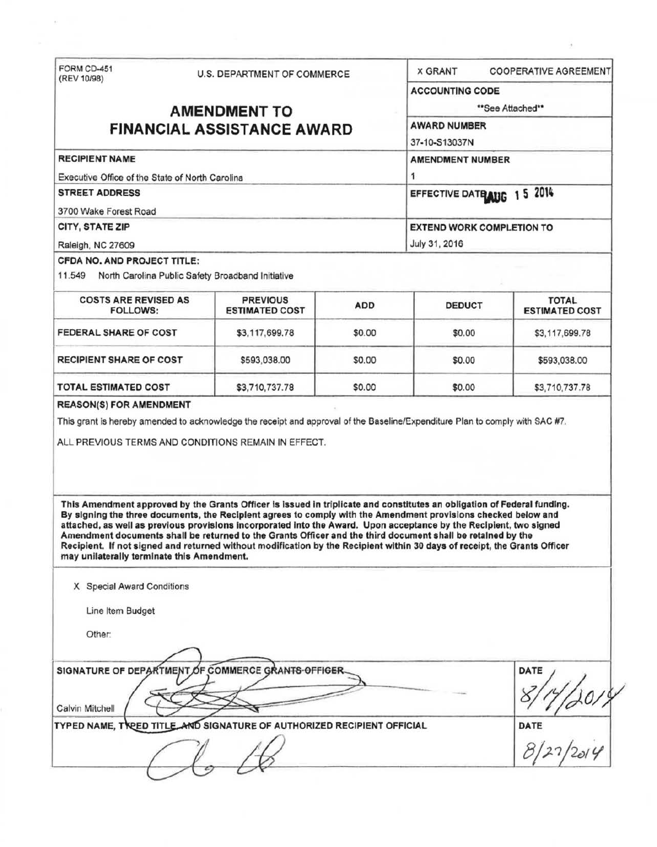| FORM CD-451<br>(REV 10/98)                                                                                                                                                                                                                                                                                                                                                                                                                                                                                                                                                                                                                                                                                                                                                                                                                                          |                     | U.S. DEPARTMENT OF COMMERCE              |            | <b>X GRANT</b>                   | <b>COOPERATIVE AGREEMENT</b>          |
|---------------------------------------------------------------------------------------------------------------------------------------------------------------------------------------------------------------------------------------------------------------------------------------------------------------------------------------------------------------------------------------------------------------------------------------------------------------------------------------------------------------------------------------------------------------------------------------------------------------------------------------------------------------------------------------------------------------------------------------------------------------------------------------------------------------------------------------------------------------------|---------------------|------------------------------------------|------------|----------------------------------|---------------------------------------|
|                                                                                                                                                                                                                                                                                                                                                                                                                                                                                                                                                                                                                                                                                                                                                                                                                                                                     |                     |                                          |            | <b>ACCOUNTING CODE</b>           |                                       |
|                                                                                                                                                                                                                                                                                                                                                                                                                                                                                                                                                                                                                                                                                                                                                                                                                                                                     | <b>AMENDMENT TO</b> | **See Attached**<br><b>AWARD NUMBER</b>  |            |                                  |                                       |
| <b>FINANCIAL ASSISTANCE AWARD</b>                                                                                                                                                                                                                                                                                                                                                                                                                                                                                                                                                                                                                                                                                                                                                                                                                                   |                     |                                          |            |                                  |                                       |
|                                                                                                                                                                                                                                                                                                                                                                                                                                                                                                                                                                                                                                                                                                                                                                                                                                                                     |                     | 37-10-S13037N                            |            |                                  |                                       |
| <b>RECIPIENT NAME</b>                                                                                                                                                                                                                                                                                                                                                                                                                                                                                                                                                                                                                                                                                                                                                                                                                                               |                     | <b>AMENDMENT NUMBER</b><br>1             |            |                                  |                                       |
| Executive Office of the State of North Carolina                                                                                                                                                                                                                                                                                                                                                                                                                                                                                                                                                                                                                                                                                                                                                                                                                     |                     |                                          |            |                                  |                                       |
| <b>STREET ADDRESS</b>                                                                                                                                                                                                                                                                                                                                                                                                                                                                                                                                                                                                                                                                                                                                                                                                                                               |                     |                                          |            | EFFECTIVE DATE AUG 15 2014       |                                       |
| 3700 Wake Forest Road                                                                                                                                                                                                                                                                                                                                                                                                                                                                                                                                                                                                                                                                                                                                                                                                                                               |                     |                                          |            |                                  |                                       |
| CITY, STATE ZIP                                                                                                                                                                                                                                                                                                                                                                                                                                                                                                                                                                                                                                                                                                                                                                                                                                                     |                     |                                          |            | <b>EXTEND WORK COMPLETION TO</b> |                                       |
| Raleigh, NC 27609                                                                                                                                                                                                                                                                                                                                                                                                                                                                                                                                                                                                                                                                                                                                                                                                                                                   |                     |                                          |            | July 31, 2016                    |                                       |
| CFDA NO. AND PROJECT TITLE:                                                                                                                                                                                                                                                                                                                                                                                                                                                                                                                                                                                                                                                                                                                                                                                                                                         |                     |                                          |            |                                  |                                       |
| 11.549 North Carolina Public Safety Broadband Initiative                                                                                                                                                                                                                                                                                                                                                                                                                                                                                                                                                                                                                                                                                                                                                                                                            |                     |                                          |            |                                  |                                       |
| <b>COSTS ARE REVISED AS</b><br><b>FOLLOWS:</b>                                                                                                                                                                                                                                                                                                                                                                                                                                                                                                                                                                                                                                                                                                                                                                                                                      |                     | <b>PREVIOUS</b><br><b>ESTIMATED COST</b> | <b>ADD</b> | <b>DEDUCT</b>                    | <b>TOTAL</b><br><b>ESTIMATED COST</b> |
| FEDERAL SHARE OF COST                                                                                                                                                                                                                                                                                                                                                                                                                                                                                                                                                                                                                                                                                                                                                                                                                                               |                     | \$3,117,699.78                           | \$0.00     | \$0.00                           | \$3,117,699.78                        |
| <b>RECIPIENT SHARE OF COST</b>                                                                                                                                                                                                                                                                                                                                                                                                                                                                                                                                                                                                                                                                                                                                                                                                                                      |                     | \$593,038.00                             | \$0.00     | \$0.00                           | \$593,038.00                          |
|                                                                                                                                                                                                                                                                                                                                                                                                                                                                                                                                                                                                                                                                                                                                                                                                                                                                     |                     |                                          |            |                                  |                                       |
|                                                                                                                                                                                                                                                                                                                                                                                                                                                                                                                                                                                                                                                                                                                                                                                                                                                                     |                     | \$3,710,737.78                           | \$0.00     | \$0.00                           | \$3,710,737.78                        |
| <b>TOTAL ESTIMATED COST</b><br><b>REASON(S) FOR AMENDMENT</b><br>This grant is hereby amended to acknowledge the receipt and approval of the Baseline/Expenditure Plan to comply with SAC #7.<br>ALL PREVIOUS TERMS AND CONDITIONS REMAIN IN EFFECT.<br>This Amendment approved by the Grants Officer is issued in triplicate and constitutes an obligation of Federal funding.<br>By signing the three documents, the Recipient agrees to comply with the Amendment provisions checked below and<br>attached, as well as previous provisions incorporated into the Award. Upon acceptance by the Recipient, two signed<br>Amendment documents shall be returned to the Grants Officer and the third document shall be retained by the<br>Recipient. If not signed and returned without modification by the Recipient within 30 days of receipt, the Grants Officer |                     |                                          |            |                                  |                                       |
| may unilaterally terminate this Amendment.                                                                                                                                                                                                                                                                                                                                                                                                                                                                                                                                                                                                                                                                                                                                                                                                                          |                     |                                          |            |                                  |                                       |
| X Special Award Conditions                                                                                                                                                                                                                                                                                                                                                                                                                                                                                                                                                                                                                                                                                                                                                                                                                                          |                     |                                          |            |                                  |                                       |
| Line Item Budget                                                                                                                                                                                                                                                                                                                                                                                                                                                                                                                                                                                                                                                                                                                                                                                                                                                    |                     |                                          |            |                                  |                                       |
| Other:                                                                                                                                                                                                                                                                                                                                                                                                                                                                                                                                                                                                                                                                                                                                                                                                                                                              |                     |                                          |            |                                  |                                       |
|                                                                                                                                                                                                                                                                                                                                                                                                                                                                                                                                                                                                                                                                                                                                                                                                                                                                     |                     |                                          |            |                                  |                                       |
| SIGNATURE OF DEPARTMENT OF COMMERCE GRANTS-OFFICER<br>Calvin Mitchell                                                                                                                                                                                                                                                                                                                                                                                                                                                                                                                                                                                                                                                                                                                                                                                               |                     |                                          |            |                                  | <b>DATE</b>                           |
| TYPED NAME, TREED TITLE AND SIGNATURE OF AUTHORIZED RECIPIENT OFFICIAL                                                                                                                                                                                                                                                                                                                                                                                                                                                                                                                                                                                                                                                                                                                                                                                              |                     |                                          |            |                                  | <b>DATE</b>                           |

 $\mathcal{L}^{\text{max}}$